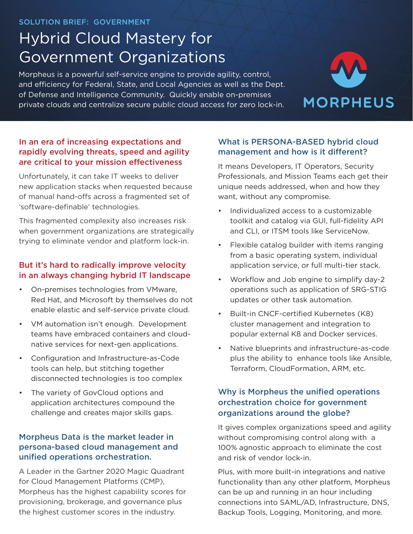# Hybrid Cloud Mastery for Government Organizations

Morpheus is a powerful self-service engine to provide agility, control, and efficiency for Federal, State, and Local Agencies as well as the Dept. of Defense and Intelligence Community. Quickly enable on-premises private clouds and centralize secure public cloud access for zero lock-in.



## In an era of increasing expectations and rapidly evolving threats, speed and agility are critical to your mission effectiveness

Unfortunately, it can take IT weeks to deliver new application stacks when requested because of manual hand-offs across a fragmented set of 'software-definable' technologies.

This fragmented complexity also increases risk when government organizations are strategically trying to eliminate vendor and platform lock-in.

## But it's hard to radically improve velocity in an always changing hybrid IT landscape

- On-premises technologies from VMware, Red Hat, and Microsoft by themselves do not enable elastic and self-service private cloud.
- VM automation isn't enough. Development teams have embraced containers and cloudnative services for next-gen applications.
- Configuration and Infrastructure-as-Code tools can help, but stitching together disconnected technologies is too complex
- The variety of GovCloud options and application architectures compound the challenge and creates major skills gaps.

## Morpheus Data is the market leader in persona-based cloud management and unified operations orchestration.

A Leader in the Gartner 2020 Magic Quadrant for Cloud Management Platforms (CMP), Morpheus has the highest capability scores for provisioning, brokerage, and governance plus the highest customer scores in the industry.

## What is PERSONA-BASED hybrid cloud management and how is it different?

It means Developers, IT Operators, Security Professionals, and Mission Teams each get their unique needs addressed, when and how they want, without any compromise.

- Individualized access to a customizable toolkit and catalog via GUI, full-fidelity API and CLI, or ITSM tools like ServiceNow.
- Flexible catalog builder with items ranging from a basic operating system, individual application service, or full multi-tier stack.
- Workflow and Job engine to simplify day-2 operations such as application of SRG-STIG updates or other task automation.
- Built-in CNCF-certified Kubernetes (K8) cluster management and integration to popular external K8 and Docker services.
- Native blueprints and infrastructure-as-code plus the ability to enhance tools like Ansible, Terraform, CloudFormation, ARM, etc.

## Why is Morpheus the unified operations orchestration choice for government organizations around the globe?

It gives complex organizations speed and agility without compromising control along with a 100% agnostic approach to eliminate the cost and risk of vendor lock-in.

Plus, with more built-in integrations and native functionality than any other platform, Morpheus can be up and running in an hour including connections into SAML/AD, Infrastructure, DNS, Backup Tools, Logging, Monitoring, and more.